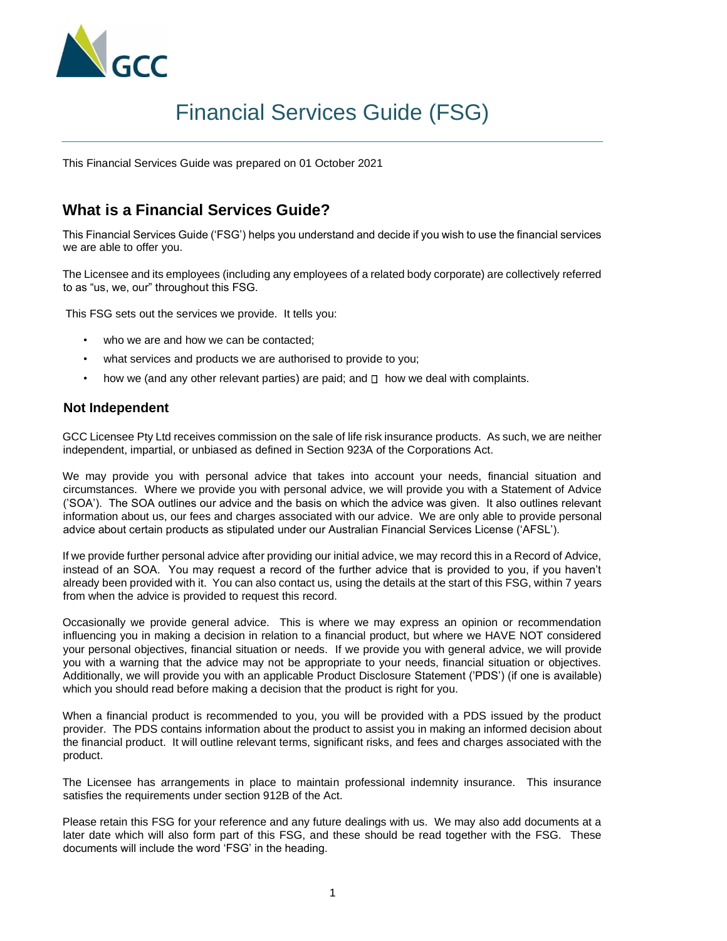

# Financial Services Guide (FSG)

This Financial Services Guide was prepared on 01 October 2021

## **What is a Financial Services Guide?**

This Financial Services Guide ('FSG') helps you understand and decide if you wish to use the financial services we are able to offer you.

The Licensee and its employees (including any employees of a related body corporate) are collectively referred to as "us, we, our" throughout this FSG.

This FSG sets out the services we provide. It tells you:

- who we are and how we can be contacted;
- what services and products we are authorised to provide to you;
- how we (and any other relevant parties) are paid; and  $\Box$  how we deal with complaints.

#### **Not Independent**

GCC Licensee Pty Ltd receives commission on the sale of life risk insurance products. As such, we are neither independent, impartial, or unbiased as defined in Section 923A of the Corporations Act.

We may provide you with personal advice that takes into account your needs, financial situation and circumstances. Where we provide you with personal advice, we will provide you with a Statement of Advice ('SOA'). The SOA outlines our advice and the basis on which the advice was given. It also outlines relevant information about us, our fees and charges associated with our advice. We are only able to provide personal advice about certain products as stipulated under our Australian Financial Services License ('AFSL').

If we provide further personal advice after providing our initial advice, we may record this in a Record of Advice, instead of an SOA. You may request a record of the further advice that is provided to you, if you haven't already been provided with it. You can also contact us, using the details at the start of this FSG, within 7 years from when the advice is provided to request this record.

Occasionally we provide general advice. This is where we may express an opinion or recommendation influencing you in making a decision in relation to a financial product, but where we HAVE NOT considered your personal objectives, financial situation or needs. If we provide you with general advice, we will provide you with a warning that the advice may not be appropriate to your needs, financial situation or objectives. Additionally, we will provide you with an applicable Product Disclosure Statement ('PDS') (if one is available) which you should read before making a decision that the product is right for you.

When a financial product is recommended to you, you will be provided with a PDS issued by the product provider. The PDS contains information about the product to assist you in making an informed decision about the financial product. It will outline relevant terms, significant risks, and fees and charges associated with the product.

The Licensee has arrangements in place to maintain professional indemnity insurance. This insurance satisfies the requirements under section 912B of the Act.

Please retain this FSG for your reference and any future dealings with us. We may also add documents at a later date which will also form part of this FSG, and these should be read together with the FSG. These documents will include the word 'FSG' in the heading.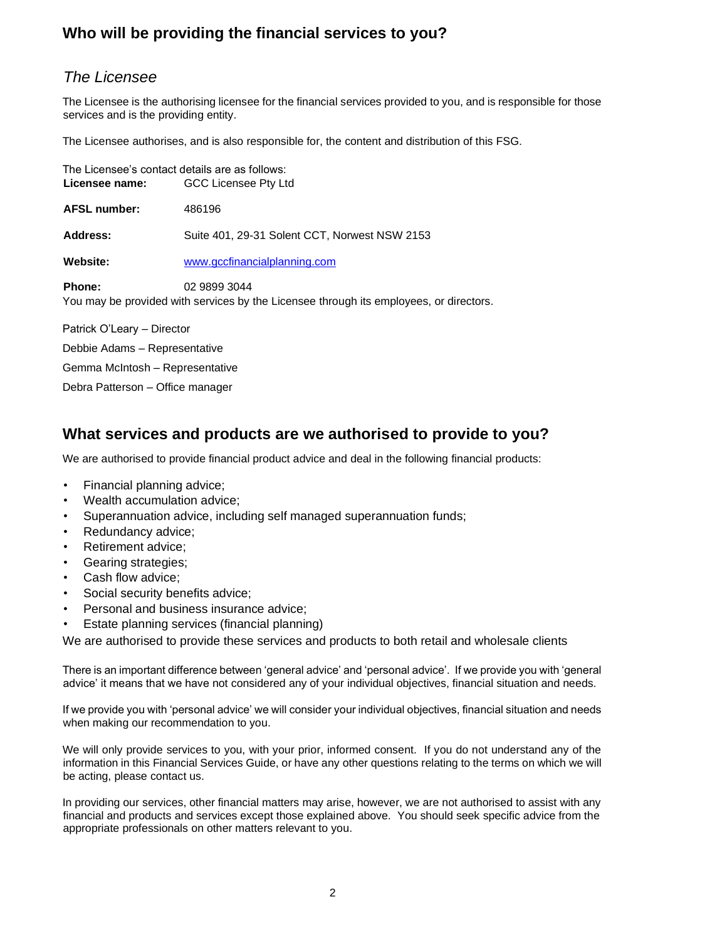# **Who will be providing the financial services to you?**

## *The Licensee*

The Licensee is the authorising licensee for the financial services provided to you, and is responsible for those services and is the providing entity.

The Licensee authorises, and is also responsible for, the content and distribution of this FSG.

|                     | The Licensee's contact details are as follows:                                             |  |  |
|---------------------|--------------------------------------------------------------------------------------------|--|--|
| Licensee name:      | GCC Licensee Pty Ltd                                                                       |  |  |
| <b>AFSL number:</b> | 486196                                                                                     |  |  |
| <b>Address:</b>     | Suite 401, 29-31 Solent CCT, Norwest NSW 2153                                              |  |  |
| <b>Website:</b>     | www.gccfinancialplanning.com                                                               |  |  |
| <b>Phone:</b>       | 02 9899 3044<br>You may be provided with censices by the Licensee through its employees of |  |  |

You may be provided with services by the Licensee through its employees, or directors.

Patrick O'Leary – Director Debbie Adams – Representative Gemma McIntosh – Representative Debra Patterson – Office manager

## **What services and products are we authorised to provide to you?**

We are authorised to provide financial product advice and deal in the following financial products:

- Financial planning advice;
- Wealth accumulation advice;
- Superannuation advice, including self managed superannuation funds;
- Redundancy advice;
- Retirement advice;
- Gearing strategies;
- Cash flow advice:
- Social security benefits advice:
- Personal and business insurance advice;
- Estate planning services (financial planning)

We are authorised to provide these services and products to both retail and wholesale clients

There is an important difference between 'general advice' and 'personal advice'. If we provide you with 'general advice' it means that we have not considered any of your individual objectives, financial situation and needs.

If we provide you with 'personal advice' we will consider your individual objectives, financial situation and needs when making our recommendation to you.

We will only provide services to you, with your prior, informed consent. If you do not understand any of the information in this Financial Services Guide, or have any other questions relating to the terms on which we will be acting, please contact us.

In providing our services, other financial matters may arise, however, we are not authorised to assist with any financial and products and services except those explained above. You should seek specific advice from the appropriate professionals on other matters relevant to you.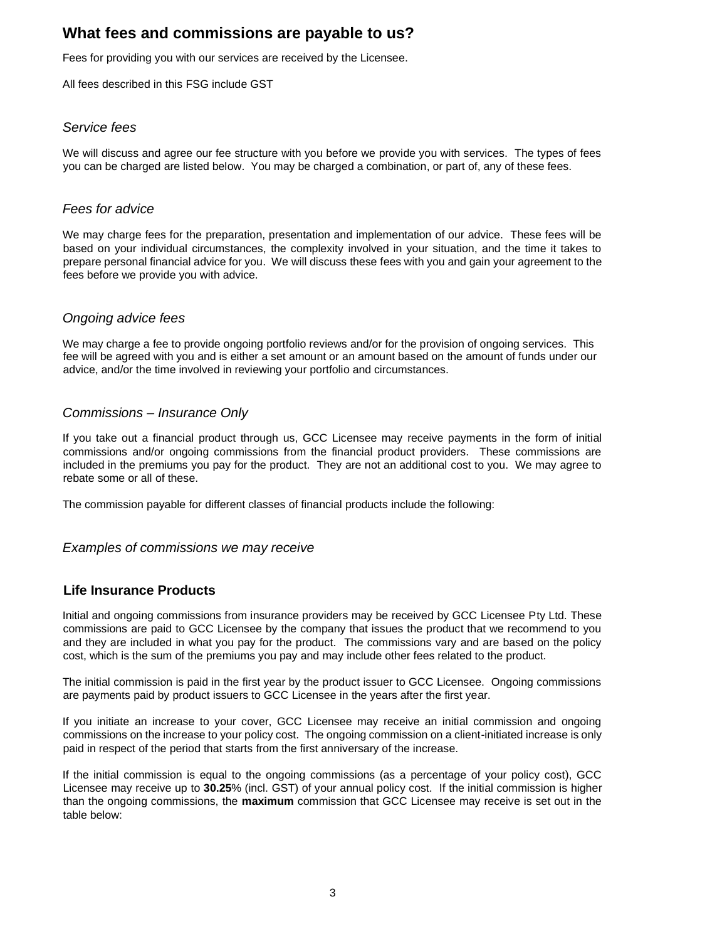## **What fees and commissions are payable to us?**

Fees for providing you with our services are received by the Licensee.

All fees described in this FSG include GST

#### *Service fees*

We will discuss and agree our fee structure with you before we provide you with services. The types of fees you can be charged are listed below. You may be charged a combination, or part of, any of these fees.

#### *Fees for advice*

We may charge fees for the preparation, presentation and implementation of our advice. These fees will be based on your individual circumstances, the complexity involved in your situation, and the time it takes to prepare personal financial advice for you. We will discuss these fees with you and gain your agreement to the fees before we provide you with advice.

#### *Ongoing advice fees*

We may charge a fee to provide ongoing portfolio reviews and/or for the provision of ongoing services. This fee will be agreed with you and is either a set amount or an amount based on the amount of funds under our advice, and/or the time involved in reviewing your portfolio and circumstances.

#### *Commissions – Insurance Only*

If you take out a financial product through us, GCC Licensee may receive payments in the form of initial commissions and/or ongoing commissions from the financial product providers. These commissions are included in the premiums you pay for the product. They are not an additional cost to you. We may agree to rebate some or all of these.

The commission payable for different classes of financial products include the following:

*Examples of commissions we may receive* 

### **Life Insurance Products**

Initial and ongoing commissions from insurance providers may be received by GCC Licensee Pty Ltd. These commissions are paid to GCC Licensee by the company that issues the product that we recommend to you and they are included in what you pay for the product. The commissions vary and are based on the policy cost, which is the sum of the premiums you pay and may include other fees related to the product.

The initial commission is paid in the first year by the product issuer to GCC Licensee. Ongoing commissions are payments paid by product issuers to GCC Licensee in the years after the first year.

If you initiate an increase to your cover, GCC Licensee may receive an initial commission and ongoing commissions on the increase to your policy cost. The ongoing commission on a client-initiated increase is only paid in respect of the period that starts from the first anniversary of the increase.

If the initial commission is equal to the ongoing commissions (as a percentage of your policy cost), GCC Licensee may receive up to **30.25**% (incl. GST) of your annual policy cost. If the initial commission is higher than the ongoing commissions, the **maximum** commission that GCC Licensee may receive is set out in the table below: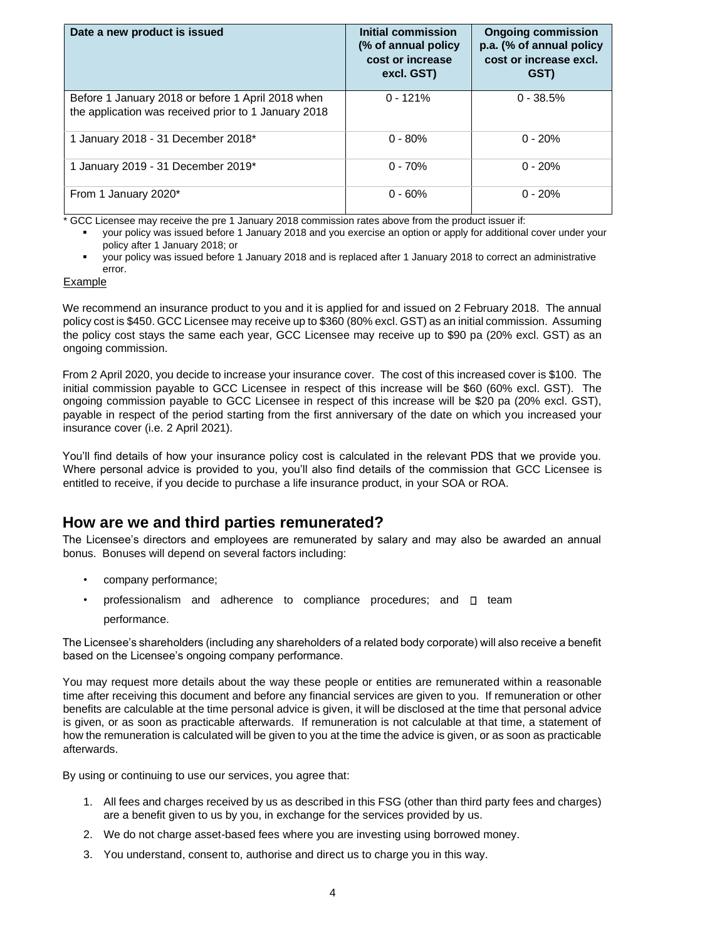| Date a new product is issued                                                                              | Initial commission<br>(% of annual policy)<br>cost or increase<br>excl. GST) | <b>Ongoing commission</b><br>p.a. (% of annual policy<br>cost or increase excl.<br>GST) |
|-----------------------------------------------------------------------------------------------------------|------------------------------------------------------------------------------|-----------------------------------------------------------------------------------------|
| Before 1 January 2018 or before 1 April 2018 when<br>the application was received prior to 1 January 2018 | $0 - 121%$                                                                   | $0 - 38.5%$                                                                             |
| 1 January 2018 - 31 December 2018*                                                                        | $0 - 80%$                                                                    | $0 - 20%$                                                                               |
| 1 January 2019 - 31 December 2019*                                                                        | $0 - 70%$                                                                    | $0 - 20%$                                                                               |
| From 1 January 2020*                                                                                      | $0 - 60%$                                                                    | $0 - 20%$                                                                               |

GCC Licensee may receive the pre 1 January 2018 commission rates above from the product issuer if:

your policy was issued before 1 January 2018 and you exercise an option or apply for additional cover under your policy after 1 January 2018; or

your policy was issued before 1 January 2018 and is replaced after 1 January 2018 to correct an administrative error.

#### Example

We recommend an insurance product to you and it is applied for and issued on 2 February 2018. The annual policy cost is \$450. GCC Licensee may receive up to \$360 (80% excl. GST) as an initial commission. Assuming the policy cost stays the same each year, GCC Licensee may receive up to \$90 pa (20% excl. GST) as an ongoing commission.

From 2 April 2020, you decide to increase your insurance cover. The cost of this increased cover is \$100. The initial commission payable to GCC Licensee in respect of this increase will be \$60 (60% excl. GST). The ongoing commission payable to GCC Licensee in respect of this increase will be \$20 pa (20% excl. GST), payable in respect of the period starting from the first anniversary of the date on which you increased your insurance cover (i.e. 2 April 2021).

You'll find details of how your insurance policy cost is calculated in the relevant PDS that we provide you. Where personal advice is provided to you, you'll also find details of the commission that GCC Licensee is entitled to receive, if you decide to purchase a life insurance product, in your SOA or ROA.

## **How are we and third parties remunerated?**

The Licensee's directors and employees are remunerated by salary and may also be awarded an annual bonus. Bonuses will depend on several factors including:

- company performance;
- professionalism and adherence to compliance procedures; and  $\Box$  team performance.

The Licensee's shareholders (including any shareholders of a related body corporate) will also receive a benefit based on the Licensee's ongoing company performance.

You may request more details about the way these people or entities are remunerated within a reasonable time after receiving this document and before any financial services are given to you. If remuneration or other benefits are calculable at the time personal advice is given, it will be disclosed at the time that personal advice is given, or as soon as practicable afterwards. If remuneration is not calculable at that time, a statement of how the remuneration is calculated will be given to you at the time the advice is given, or as soon as practicable afterwards.

By using or continuing to use our services, you agree that:

- 1. All fees and charges received by us as described in this FSG (other than third party fees and charges) are a benefit given to us by you, in exchange for the services provided by us.
- 2. We do not charge asset-based fees where you are investing using borrowed money.
- 3. You understand, consent to, authorise and direct us to charge you in this way.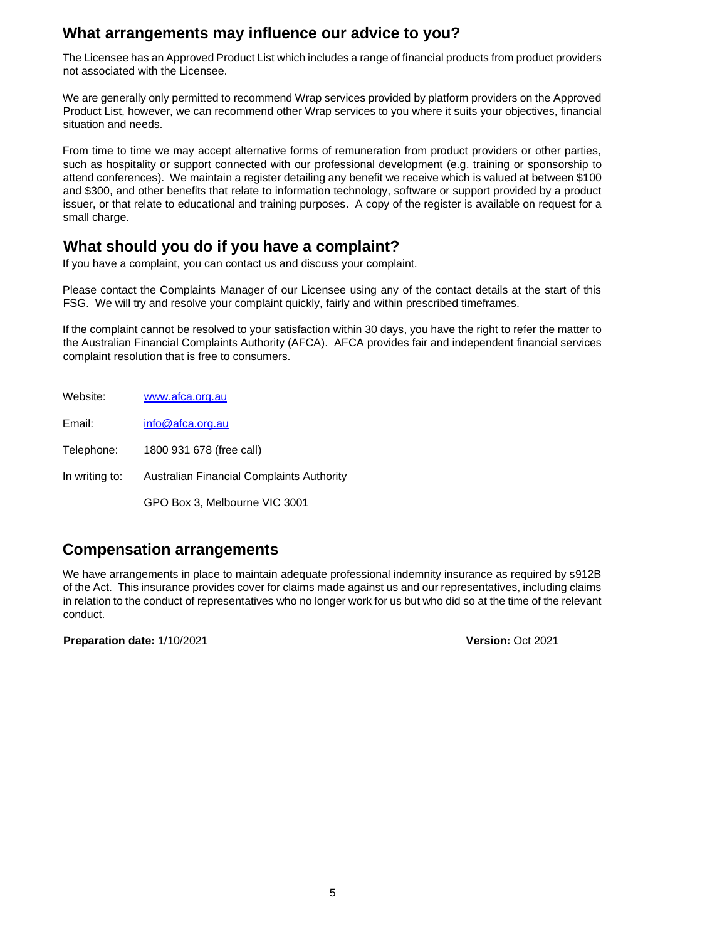## **What arrangements may influence our advice to you?**

The Licensee has an Approved Product List which includes a range of financial products from product providers not associated with the Licensee.

We are generally only permitted to recommend Wrap services provided by platform providers on the Approved Product List, however, we can recommend other Wrap services to you where it suits your objectives, financial situation and needs.

From time to time we may accept alternative forms of remuneration from product providers or other parties, such as hospitality or support connected with our professional development (e.g. training or sponsorship to attend conferences). We maintain a register detailing any benefit we receive which is valued at between \$100 and \$300, and other benefits that relate to information technology, software or support provided by a product issuer, or that relate to educational and training purposes. A copy of the register is available on request for a small charge.

## **What should you do if you have a complaint?**

If you have a complaint, you can contact us and discuss your complaint.

Please contact the Complaints Manager of our Licensee using any of the contact details at the start of this FSG. We will try and resolve your complaint quickly, fairly and within prescribed timeframes.

If the complaint cannot be resolved to your satisfaction within 30 days, you have the right to refer the matter to the Australian Financial Complaints Authority (AFCA). AFCA provides fair and independent financial services complaint resolution that is free to consumers.

| Website:       | www.afca.org.au                           |
|----------------|-------------------------------------------|
| Email:         | info@afca.org.au                          |
| Telephone:     | 1800 931 678 (free call)                  |
| In writing to: | Australian Financial Complaints Authority |
|                | GPO Box 3, Melbourne VIC 3001             |

# **Compensation arrangements**

We have arrangements in place to maintain adequate professional indemnity insurance as required by s912B of the Act. This insurance provides cover for claims made against us and our representatives, including claims in relation to the conduct of representatives who no longer work for us but who did so at the time of the relevant conduct.

**Preparation date:** 1/10/2021 **Version:** Oct 2021